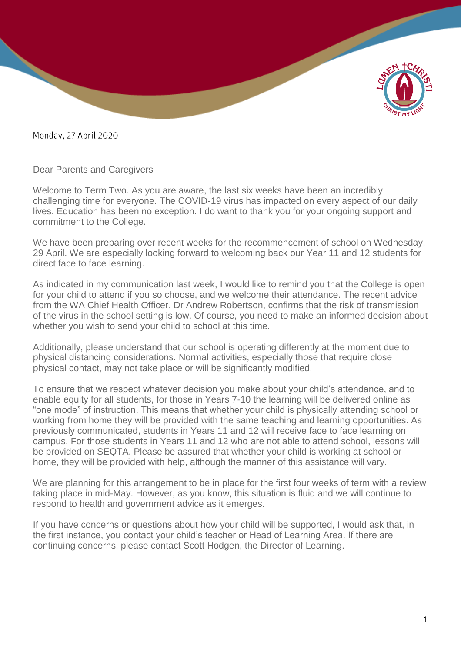

Monday, 27 April 2020

Dear Parents and Caregivers

Welcome to Term Two. As you are aware, the last six weeks have been an incredibly challenging time for everyone. The COVID-19 virus has impacted on every aspect of our daily lives. Education has been no exception. I do want to thank you for your ongoing support and commitment to the College.

We have been preparing over recent weeks for the recommencement of school on Wednesday, 29 April. We are especially looking forward to welcoming back our Year 11 and 12 students for direct face to face learning.

As indicated in my communication last week, I would like to remind you that the College is open for your child to attend if you so choose, and we welcome their attendance. The recent advice from the WA Chief Health Officer, Dr Andrew Robertson, confirms that the risk of transmission of the virus in the school setting is low. Of course, you need to make an informed decision about whether you wish to send your child to school at this time.

Additionally, please understand that our school is operating differently at the moment due to physical distancing considerations. Normal activities, especially those that require close physical contact, may not take place or will be significantly modified.

To ensure that we respect whatever decision you make about your child's attendance, and to enable equity for all students, for those in Years 7-10 the learning will be delivered online as "one mode" of instruction. This means that whether your child is physically attending school or working from home they will be provided with the same teaching and learning opportunities. As previously communicated, students in Years 11 and 12 will receive face to face learning on campus. For those students in Years 11 and 12 who are not able to attend school, lessons will be provided on SEQTA. Please be assured that whether your child is working at school or home, they will be provided with help, although the manner of this assistance will vary.

We are planning for this arrangement to be in place for the first four weeks of term with a review taking place in mid-May. However, as you know, this situation is fluid and we will continue to respond to health and government advice as it emerges.

If you have concerns or questions about how your child will be supported, I would ask that, in the first instance, you contact your child's teacher or Head of Learning Area. If there are continuing concerns, please contact Scott Hodgen, the Director of Learning.